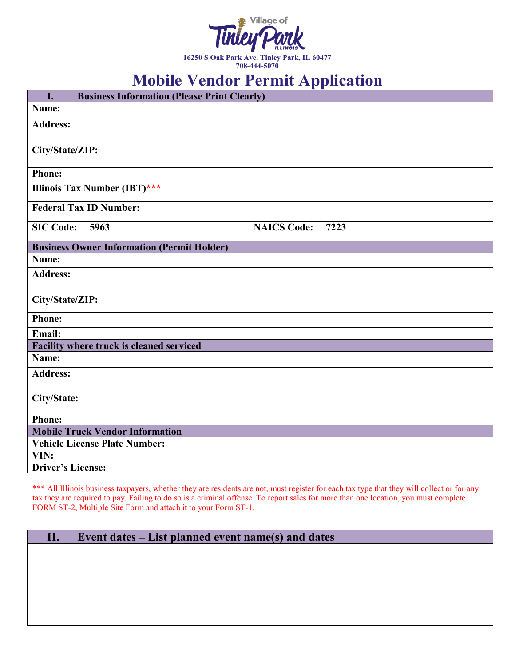

**708-444-5070**

## **Mobile Vendor Permit Application**

| I.<br><b>Business Information (Please Print Clearly)</b> |                            |
|----------------------------------------------------------|----------------------------|
| Name:                                                    |                            |
| <b>Address:</b>                                          |                            |
|                                                          |                            |
| City/State/ZIP:                                          |                            |
| <b>Phone:</b>                                            |                            |
| Illinois Tax Number (IBT)***                             |                            |
| <b>Federal Tax ID Number:</b>                            |                            |
| <b>SIC Code:</b><br>5963                                 | <b>NAICS Code:</b><br>7223 |
| <b>Business Owner Information (Permit Holder)</b>        |                            |
| Name:                                                    |                            |
| <b>Address:</b>                                          |                            |
| City/State/ZIP:                                          |                            |
|                                                          |                            |
| <b>Phone:</b>                                            |                            |
| <b>Email:</b>                                            |                            |
| Facility where truck is cleaned serviced                 |                            |
| Name:                                                    |                            |
| <b>Address:</b>                                          |                            |
| City/State:                                              |                            |
| <b>Phone:</b>                                            |                            |
| <b>Mobile Truck Vendor Information</b>                   |                            |
| <b>Vehicle License Plate Number:</b>                     |                            |
| VIN:                                                     |                            |
| <b>Driver's License:</b>                                 |                            |

\*\*\* All Illinois business taxpayers, whether they are residents are not, must register for each tax type that they will collect or for any tax they are required to pay. Failing to do so is a criminal offense. To report sales for more than one location, you must complete FORM ST-2, Multiple Site Form and attach it to your Form ST-1.

| WI. | Event dates – List planned event name(s) and dates |  |  |  |  |
|-----|----------------------------------------------------|--|--|--|--|
|-----|----------------------------------------------------|--|--|--|--|